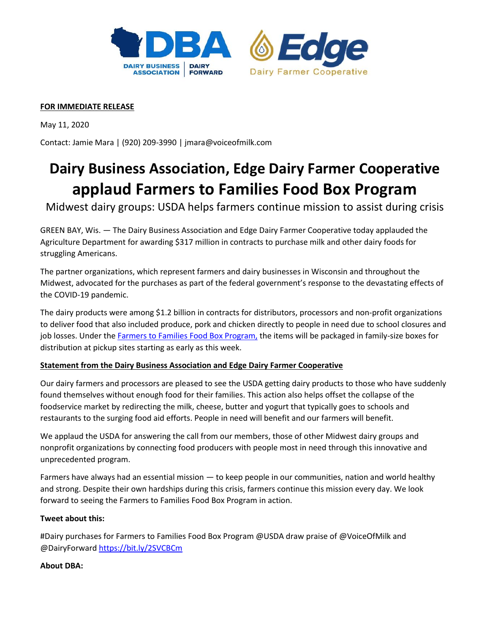



## **FOR IMMEDIATE RELEASE**

May 11, 2020

Contact: Jamie Mara | (920) 209-3990 | jmara@voiceofmilk.com

# **Dairy Business Association, Edge Dairy Farmer Cooperative applaud Farmers to Families Food Box Program**

Midwest dairy groups: USDA helps farmers continue mission to assist during crisis

GREEN BAY, Wis. — The Dairy Business Association and Edge Dairy Farmer Cooperative today applauded the Agriculture Department for awarding \$317 million in contracts to purchase milk and other dairy foods for struggling Americans.

The partner organizations, which represent farmers and dairy businesses in Wisconsin and throughout the Midwest, advocated for the purchases as part of the federal government's response to the devastating effects of the COVID-19 pandemic.

The dairy products were among \$1.2 billion in contracts for distributors, processors and non-profit organizations to deliver food that also included produce, pork and chicken directly to people in need due to school closures and job losses. Under the [Farmers to Families](https://www.ams.usda.gov/selling-food-to-usda/farmers-to-families-food-box) Food Box Program, the items will be packaged in family-size boxes for distribution at pickup sites starting as early as this week.

## **Statement from the Dairy Business Association and Edge Dairy Farmer Cooperative**

Our dairy farmers and processors are pleased to see the USDA getting dairy products to those who have suddenly found themselves without enough food for their families. This action also helps offset the collapse of the foodservice market by redirecting the milk, cheese, butter and yogurt that typically goes to schools and restaurants to the surging food aid efforts. People in need will benefit and our farmers will benefit.

We applaud the USDA for answering the call from our members, those of other Midwest dairy groups and nonprofit organizations by connecting food producers with people most in need through this innovative and unprecedented program.

Farmers have always had an essential mission — to keep people in our communities, nation and world healthy and strong. Despite their own hardships during this crisis, farmers continue this mission every day. We look forward to seeing the Farmers to Families Food Box Program in action.

#### **Tweet about this:**

#Dairy purchases for Farmers to Families Food Box Program @USDA draw praise of @VoiceOfMilk and @DairyForward <https://bit.ly/2SVCBCm>

#### **About DBA:**